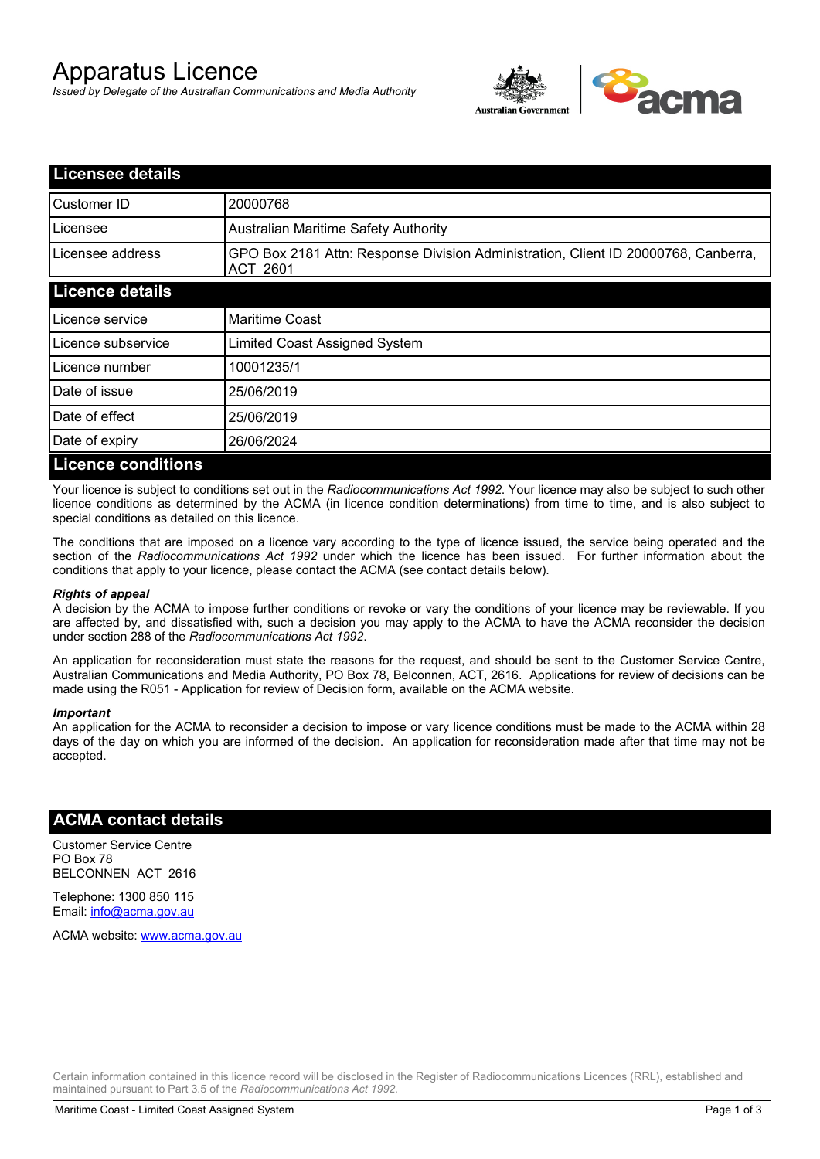# Apparatus Licence

*Issued by Delegate of the Australian Communications and Media Authority*



| <b>Licensee details</b>   |                                                                                                       |
|---------------------------|-------------------------------------------------------------------------------------------------------|
| Customer ID               | 20000768                                                                                              |
| Licensee                  | <b>Australian Maritime Safety Authority</b>                                                           |
| Licensee address          | GPO Box 2181 Attn: Response Division Administration, Client ID 20000768, Canberra,<br><b>ACT 2601</b> |
| <b>Licence details</b>    |                                                                                                       |
| Licence service           | <b>Maritime Coast</b>                                                                                 |
| Licence subservice        | Limited Coast Assigned System                                                                         |
| Licence number            | 10001235/1                                                                                            |
| Date of issue             | 25/06/2019                                                                                            |
| Date of effect            | 25/06/2019                                                                                            |
| Date of expiry            | 26/06/2024                                                                                            |
| <b>Licence conditions</b> |                                                                                                       |

Your licence is subject to conditions set out in the *Radiocommunications Act 1992*. Your licence may also be subject to such other licence conditions as determined by the ACMA (in licence condition determinations) from time to time, and is also subject to special conditions as detailed on this licence.

The conditions that are imposed on a licence vary according to the type of licence issued, the service being operated and the section of the *Radiocommunications Act 1992* under which the licence has been issued. For further information about the conditions that apply to your licence, please contact the ACMA (see contact details below).

#### *Rights of appeal*

A decision by the ACMA to impose further conditions or revoke or vary the conditions of your licence may be reviewable. If you are affected by, and dissatisfied with, such a decision you may apply to the ACMA to have the ACMA reconsider the decision under section 288 of the *Radiocommunications Act 1992*.

An application for reconsideration must state the reasons for the request, and should be sent to the Customer Service Centre, Australian Communications and Media Authority, PO Box 78, Belconnen, ACT, 2616. Applications for review of decisions can be made using the R051 - Application for review of Decision form, available on the ACMA website.

#### *Important*

An application for the ACMA to reconsider a decision to impose or vary licence conditions must be made to the ACMA within 28 days of the day on which you are informed of the decision. An application for reconsideration made after that time may not be accepted.

### **ACMA contact details**

Customer Service Centre PO Box 78 BELCONNEN ACT 2616

Telephone: 1300 850 115 Email: info@acma.gov.au

ACMA website: www.acma.gov.au

Certain information contained in this licence record will be disclosed in the Register of Radiocommunications Licences (RRL), established and maintained pursuant to Part 3.5 of the *Radiocommunications Act 1992.*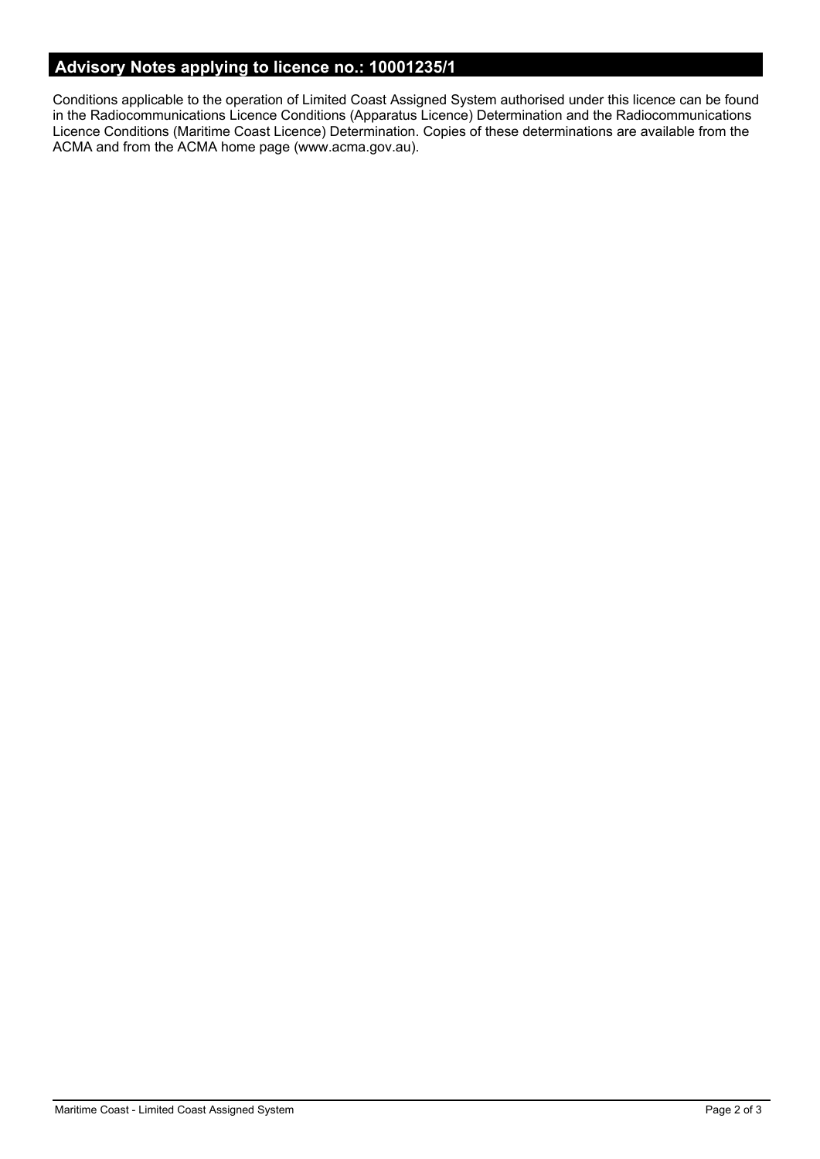# **Advisory Notes applying to licence no.: 10001235/1**

Conditions applicable to the operation of Limited Coast Assigned System authorised under this licence can be found in the Radiocommunications Licence Conditions (Apparatus Licence) Determination and the Radiocommunications Licence Conditions (Maritime Coast Licence) Determination. Copies of these determinations are available from the ACMA and from the ACMA home page (www.acma.gov.au).